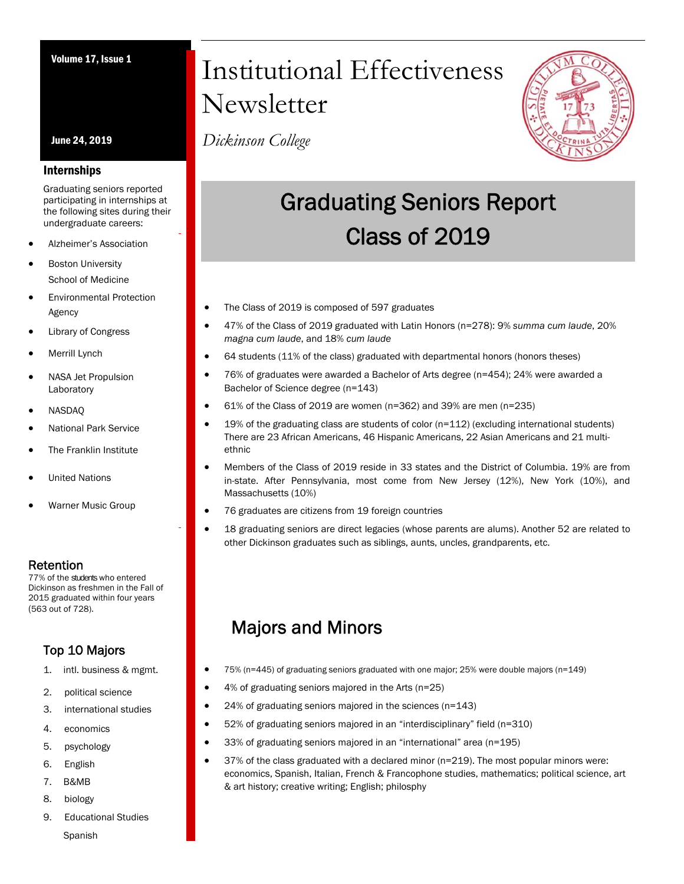June 24, 2019

### Internships

Graduating seniors reported participating in internships at the following sites during their undergraduate careers:

- Alzheimer's Association
- Boston University School of Medicine
- Environmental Protection Agency
- Library of Congress
- Merrill Lynch
- NASA Jet Propulsion Laboratory
- NASDAQ
- National Park Service
- The Franklin Institute
- United Nations
- Warner Music Group

**Retention**<br>77% of the students who entered Dickinson as freshmen in the Fall of 2015 graduated within four years (563 out of 728).

### Top 10 Majors

- 1. intl. business & mgmt.
- 2. political science
- 3. international studies
- 4. economics
- 5. psychology
- 6. English
- 7. B&MB
- 8. biology
- 9. Educational Studies Spanish

# Volume 17, Issue 1 Institutional Effectiveness Newsletter

*Dickinson College*



## Graduating Seniors Report Class of 2019

- The Class of 2019 is composed of 597 graduates
- 47% of the Class of 2019 graduated with Latin Honors (n=278): 9% *summa cum laude*, 20% *magna cum laude*, and 18% *cum laude*
- 64 students (11% of the class) graduated with departmental honors (honors theses)
- 76% of graduates were awarded a Bachelor of Arts degree (n=454); 24% were awarded a Bachelor of Science degree (n=143)
- 61% of the Class of 2019 are women (n=362) and 39% are men (n=235)
- 19% of the graduating class are students of color (n=112) (excluding international students) There are 23 African Americans, 46 Hispanic Americans, 22 Asian Americans and 21 multiethnic
- Members of the Class of 2019 reside in 33 states and the District of Columbia. 19% are from in-state. After Pennsylvania, most come from New Jersey (12%), New York (10%), and Massachusetts (10%)
- 76 graduates are citizens from 19 foreign countries
- 18 graduating seniors are direct legacies (whose parents are alums). Another 52 are related to other Dickinson graduates such as siblings, aunts, uncles, grandparents, etc.

## Majors and Minors

- 75% (n=445) of graduating seniors graduated with one major; 25% were double majors (n=149)
- 4% of graduating seniors majored in the Arts (n=25)
- 24% of graduating seniors majored in the sciences (n=143)
- 52% of graduating seniors majored in an "interdisciplinary" field (n=310)
- 33% of graduating seniors majored in an "international" area (n=195)
- 37% of the class graduated with a declared minor (n=219). The most popular minors were: economics, Spanish, Italian, French & Francophone studies, mathematics; political science, art & art history; creative writing; English; philosphy